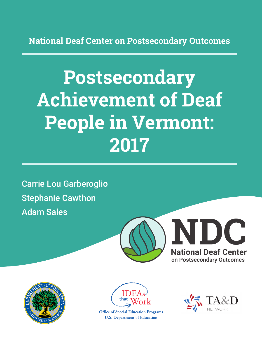**National Deaf Center on Postsecondary Outcomes**

# **Postsecondary Achievement of Deaf People in Vermont: 2017**

Carrie Lou Garberoglio Stephanie Cawthon Adam Sales







**Office of Special Education Programs U.S. Department of Education** 

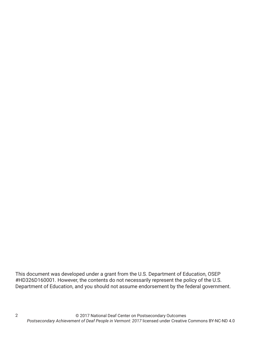This document was developed under a grant from the U.S. Department of Education, OSEP #HD326D160001. However, the contents do not necessarily represent the policy of the U.S. Department of Education, and you should not assume endorsement by the federal government.

2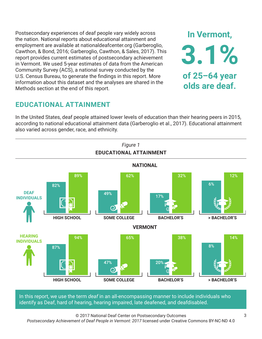Postsecondary experiences of deaf people vary widely across the nation. National reports about educational attainment and employment are available at nationaldeafcenter.org (Garberoglio, Cawthon, & Bond, 2016; Garberoglio, Cawthon, & Sales, 2017). This report provides current estimates of postsecondary achievement in Vermont. We used 5-year estimates of data from the American Community Survey (ACS), a national survey conducted by the U.S. Census Bureau, to generate the findings in this report. More information about this dataset and the analyses are shared in the Methods section at the end of this report.

# **EDUCATIONAL ATTAINMENT**

In the United States, deaf people attained lower levels of education than their hearing peers in 2015, according to national educational attainment data (Garberoglio et al., 2017). Educational attainment also varied across gender, race, and ethnicity.



In this report, we use the term *deaf* in an all-encompassing manner to include individuals who identify as Deaf, hard of hearing, hearing impaired, late deafened, and deafdisabled.

© 2017 National Deaf Center on Postsecondary Outcomes *Postsecondary Achievement of Deaf People in Vermont: 2017* licensed under Creative Commons BY-NC-ND 4.0

**In Vermont,**

**3.1%**

**of 25–64 year**

**olds are deaf.**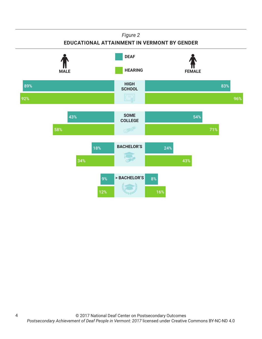#### *Figure 2*

#### **EDUCATIONAL ATTAINMENT IN VERMONT BY GENDER**



4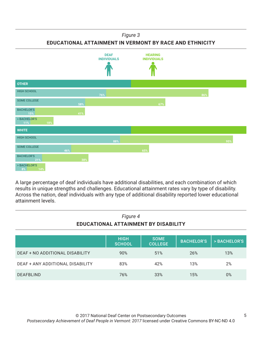#### *Figure 3*

**EDUCATIONAL ATTAINMENT IN VERMONT BY RACE AND ETHNICITY**



A large percentage of deaf individuals have additional disabilities, and each combination of which results in unique strengths and challenges. Educational attainment rates vary by type of disability. Across the nation, deaf individuals with any type of additional disability reported lower educational attainment levels.

| Figure 4<br>EDUCATIONAL ATTAINMENT BY DISABILITY |                              |                               |                   |              |
|--------------------------------------------------|------------------------------|-------------------------------|-------------------|--------------|
|                                                  | <b>HIGH</b><br><b>SCHOOL</b> | <b>SOME</b><br><b>COLLEGE</b> | <b>BACHELOR'S</b> | > BACHELOR'S |
| DEAF + NO ADDITIONAL DISABILITY                  | 90%                          | 51%                           | 26%               | 13%          |
| DEAF + ANY ADDITIONAL DISABILITY                 | 83%                          | 42%                           | 13%               | 2%           |
| <b>DEAFBLIND</b>                                 | 76%                          | 33%                           | 15%               | $0\%$        |

# © 2017 National Deaf Center on Postsecondary Outcomes

*Postsecondary Achievement of Deaf People in Vermont: 2017* licensed under Creative Commons BY-NC-ND 4.0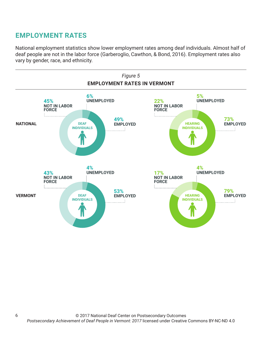# **EMPLOYMENT RATES**

6

National employment statistics show lower employment rates among deaf individuals. Almost half of deaf people are not in the labor force (Garberoglio, Cawthon, & Bond, 2016). Employment rates also vary by gender, race, and ethnicity.

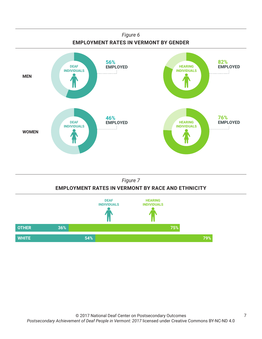



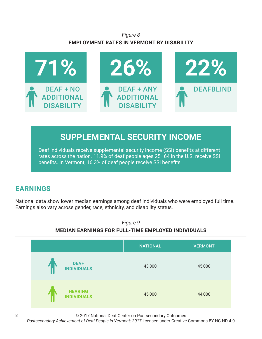### *Figure 8* **EMPLOYMENT RATES IN VERMONT BY DISABILITY**



# **SUPPLEMENTAL SECURITY INCOME**

Deaf individuals receive supplemental security income (SSI) benefits at different rates across the nation. 11.9% of deaf people ages 25–64 in the U.S. receive SSI benefits. In Vermont, 16.3% of deaf people receive SSI benefits.

# **EARNINGS**

National data show lower median earnings among deaf individuals who were employed full time. Earnings also vary across gender, race, ethnicity, and disability status.



© 2017 National Deaf Center on Postsecondary Outcomes

*Postsecondary Achievement of Deaf People in Vermont: 2017* licensed under Creative Commons BY-NC-ND 4.0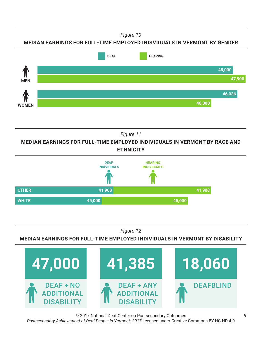*Figure 10*





*Figure 11*

**MEDIAN EARNINGS FOR FULL-TIME EMPLOYED INDIVIDUALS IN VERMONT BY RACE AND ETHNICITY**



*Figure 12*

**MEDIAN EARNINGS FOR FULL-TIME EMPLOYED INDIVIDUALS IN VERMONT BY DISABILITY**



© 2017 National Deaf Center on Postsecondary Outcomes *Postsecondary Achievement of Deaf People in Vermont: 2017* licensed under Creative Commons BY-NC-ND 4.0